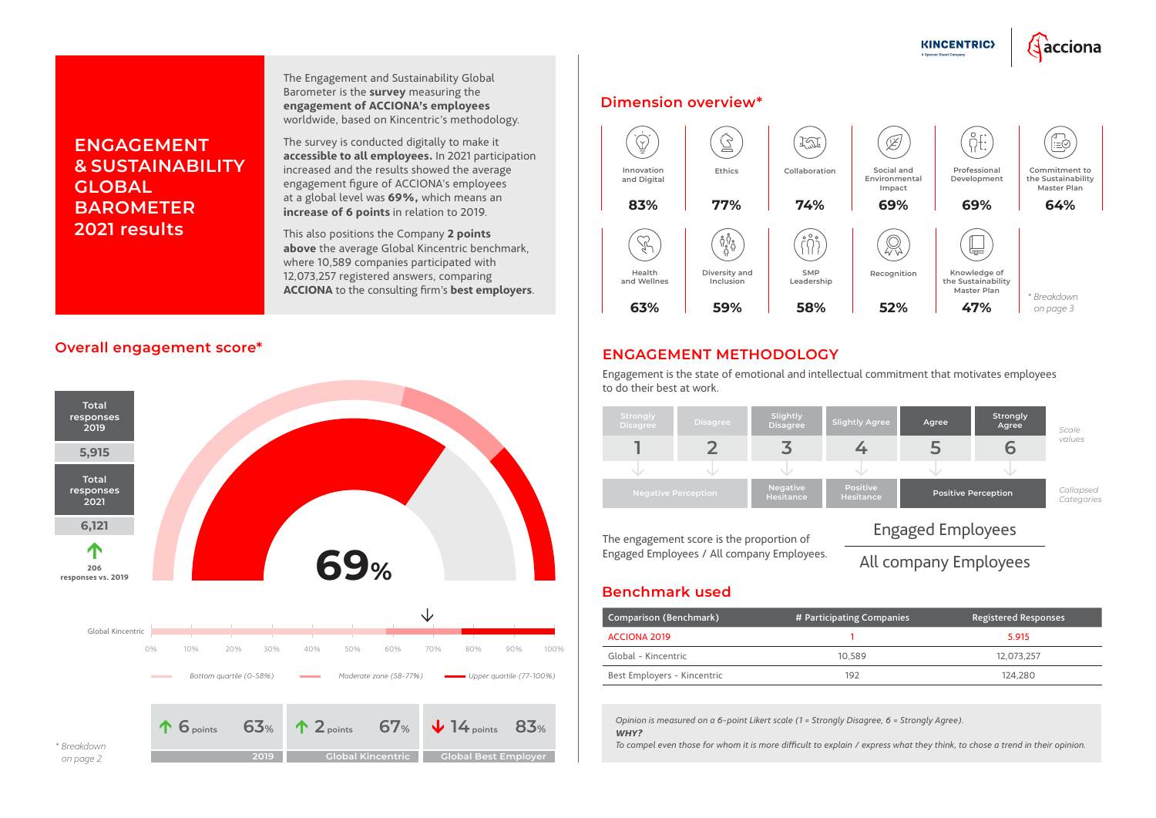## **Overall engagement score\***

#### **Benchmark used**

| Comparison (Benchmark)      | # Participating Companies | <b>Registered Responses</b> |
|-----------------------------|---------------------------|-----------------------------|
| ACCIONA 2019                |                           | 5.915                       |
| Global - Kincentric         | 10.589                    | 12.073.257                  |
| Best Employers - Kincentric | 192.                      | 124.280                     |

# **ENGAGEMENT & SUSTAINABILITY GLOBAL BAROMETER 2021 results**

The Engagement and Sustainability Global Barometer is the **survey** measuring the **engagement of ACCIONA's employees**  worldwide, based on Kincentric's methodology.

The survey is conducted digitally to make it **accessible to all employees.** In 2021 participation increased and the results showed the average engagement figure of ACCIONA's employees at a global level was **69%,** which means an **increase of 6 points** in relation to 2019.

This also positions the Company **2 points above** the average Global Kincentric benchmark, where 10,589 companies participated with 12,073,257 registered answers, comparing **ACCIONA** to the consulting firm's **best employers**.

> *Opinion is measured on a 6-point Likert scale (1 = Strongly Disagree, 6 = Strongly Agree). WHY?*



*To compel even those for whom it is more difficult to explain / express what they think, to chose a trend in their opinion.*

### **ENGAGEMENT METHODOLOGY**



Engagement is the state of emotional and intellectual commitment that motivates employees to do their best at work.

The engagement score is the proportion of Engaged Employees / All company Employees.



# Engaged Employees

**KINCENTRIC>** 

<u> dacciona</u>

# All company Employees

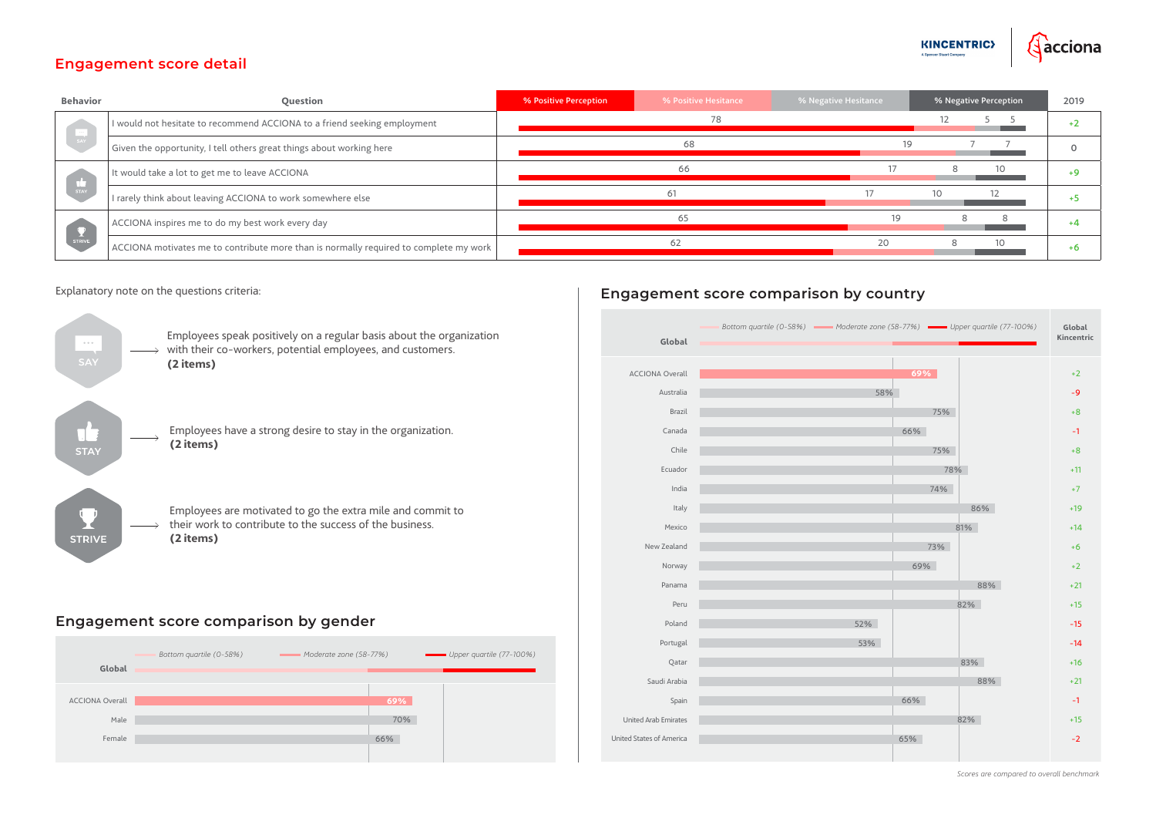### **Engagement score detail**

# **Engagement score comparison by gender**

# **Engagement score comparison by country**

| <b>Behavior</b> | <b>Question</b>                                                                       | % Positive Perception | % Positive Hesitance | % Negative Hesitance | % Negative Perception | 2019 |
|-----------------|---------------------------------------------------------------------------------------|-----------------------|----------------------|----------------------|-----------------------|------|
| SAY<br>STAY     | I would not hesitate to recommend ACCIONA to a friend seeking employment              | 78                    |                      |                      |                       |      |
|                 | Given the opportunity, I tell others great things about working here                  |                       | 68                   |                      |                       |      |
|                 | It would take a lot to get me to leave ACCIONA                                        |                       |                      |                      |                       |      |
|                 | I rarely think about leaving ACCIONA to work somewhere else                           |                       | 61                   |                      |                       |      |
| STRIVE          | ACCIONA inspires me to do my best work every day                                      |                       | 65                   | 19                   |                       |      |
|                 | ACCIONA motivates me to contribute more than is normally required to complete my work |                       | 62                   | 20                   |                       |      |









*Scores are compared to overall benchmark*



#### Explanatory note on the questions criteria: